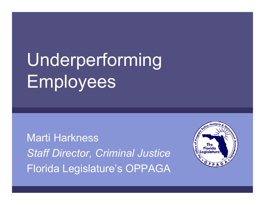# Underperforming Employees

Marti Harkness*Staff Director, Criminal Justice* Florida Legislature's OPPAGA

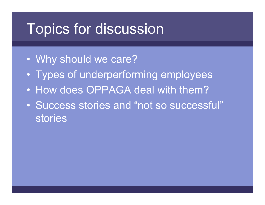# Topics for discussion

- $\bullet$ Why should we care?
- $\bullet$ Types of underperforming employees
- How does OPPAGA deal with them?
- Success stories and "not so successful" **stories**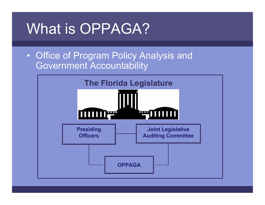# What is OPPAGA?

• Office of Program Policy Analysis and Government Accountability

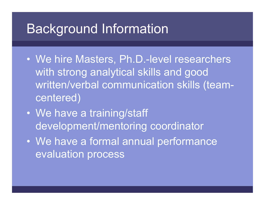# Background Information

- We hire Masters, Ph.D.-level researchers with strong analytical skills and good written/verbal communication skills (teamcentered)
- $\bullet$  We have a training/staff development/mentoring coordinator
- $\bullet$ We have a formal annual performance evaluation process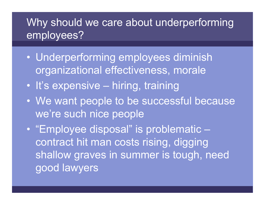#### Why should we care about underperforming employees?

- $\bullet$  Underperforming employees diminish organizational effectiveness, morale
- It's expensive hiring, training
- $\bullet$  We want people to be successful because we're such nice people
- $\bullet$  "Employee disposal" is problematic – contract hit man costs rising, digging shallow graves in summer is tough, need good lawyers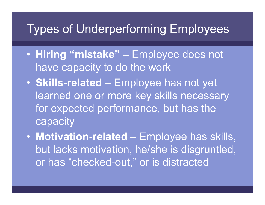#### Types of Underperforming Employees

- **Hiring "mistake" –** Employee does not have capacity to do the work
- **Skills-related –** Employee has not yet learned one or more key skills necessary for expected performance, but has the **capacity**
- **Motivation-related** Employee has skills, but lacks motivation, he/she is disgruntled, or has "checked-out," or is distracted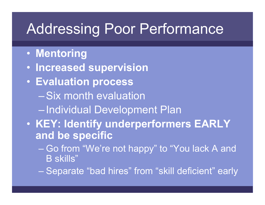# Addressing Poor Performance

- **Mentoring**
- **Increased supervision**
- **Evaluation process** – Six month evaluation Individual Development Plan
- $\bullet$  **KEY: Identify underperformers EARLY and be specific**
	- Go from "We're not happy" to "You lack A and B skills"
	- Separate "bad hires" from "skill deficient" early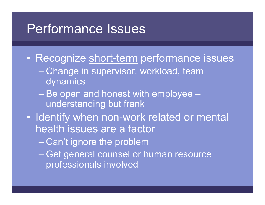# Performance Issues

- $\bullet$ Recognize short-term performance issues
	- Change in supervisor, workload, team dynamics
	- Be open and honest with employee understanding but frank
- $\bullet$  Identify when non-work related or mental health issues are a factor
	- Can't ignore the problem
	- Get general counsel or human resource professionals involved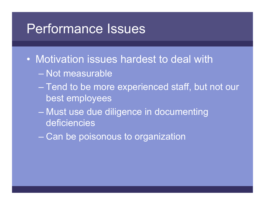## Performance Issues

- Motivation issues hardest to deal with
	- Not measurable
	- Tend to be more experienced staff, but not our best employees
	- Must use due diligence in documenting deficiencies
	- Can be poisonous to organization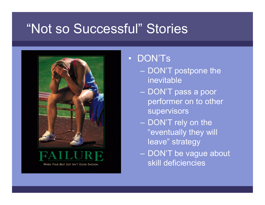# "Not so Successful" Stories





WHEN YOUR BEST JUST ISN'T GOOD ENOUGH

#### • DON'Ts

- DON'T postpone the inevitable
- DON'T pass a poor performer on to other supervisors
- DON'T rely on the "eventually they will leave" strategy
- DON'T be vague about skill deficiencies